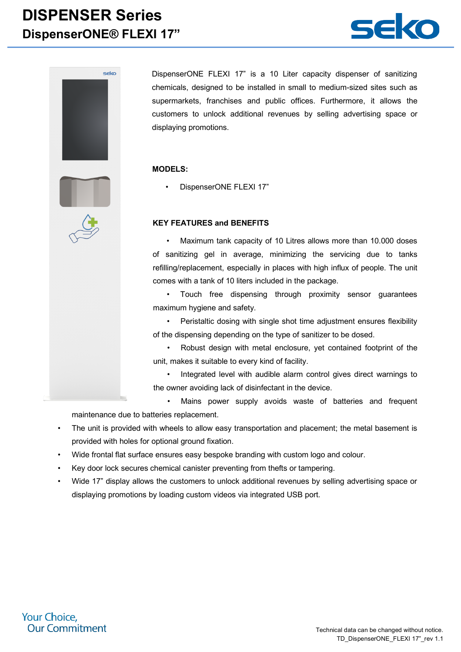## **DISPENSER Series DispenserONE® FLEXI 17"**





DispenserONE FLEXI 17" is a 10 Liter capacity dispenser of sanitizing chemicals, designed to be installed in small to medium-sized sites such as supermarkets, franchises and public offices. Furthermore, it allows the customers to unlock additional revenues by selling advertising space or displaying promotions.

#### **MODELS:**

• DispenserONE FLEXI 17"

#### **KEY FEATURES and BENEFITS**

• Maximum tank capacity of 10 Litres allows more than 10.000 doses of sanitizing gel in average, minimizing the servicing due to tanks refilling/replacement, especially in places with high influx of people. The unit comes with a tank of 10 liters included in the package.

• Touch free dispensing through proximity sensor guarantees maximum hygiene and safety.

• Peristaltic dosing with single shot time adjustment ensures flexibility of the dispensing depending on the type of sanitizer to be dosed.

• Robust design with metal enclosure, yet contained footprint of the unit, makes it suitable to every kind of facility.

• Integrated level with audible alarm control gives direct warnings to the owner avoiding lack of disinfectant in the device.

- Mains power supply avoids waste of batteries and frequent maintenance due to batteries replacement.
- The unit is provided with wheels to allow easy transportation and placement; the metal basement is provided with holes for optional ground fixation.
- Wide frontal flat surface ensures easy bespoke branding with custom logo and colour.
- Key door lock secures chemical canister preventing from thefts or tampering.
- Wide 17" display allows the customers to unlock additional revenues by selling advertising space or displaying promotions by loading custom videos via integrated USB port.